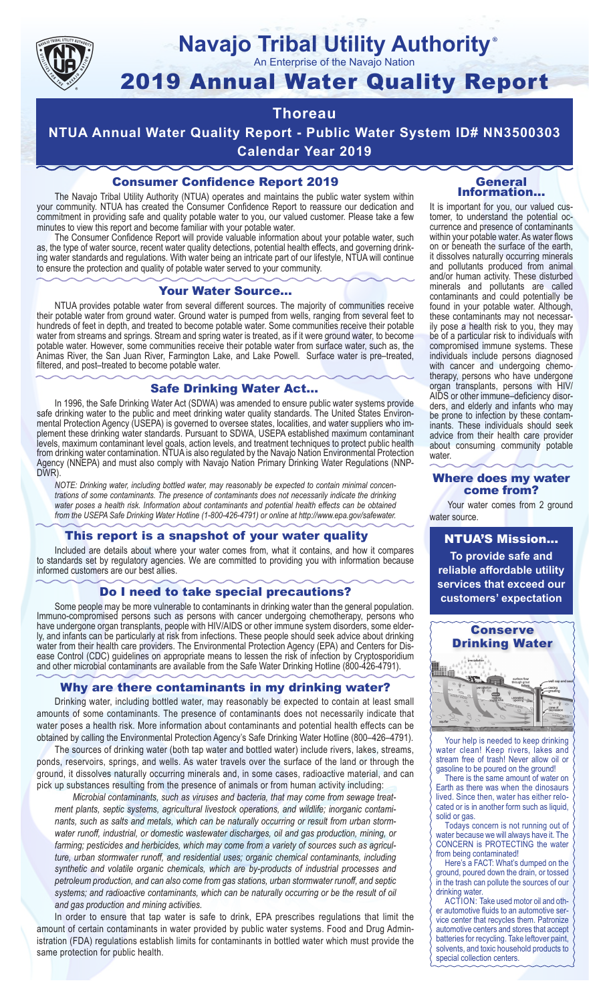

#### **Navajo Tribal Utility Authority** ®

An Enterprise of the Navajo Nation

# 2019 Annual Water Quality Report

## **Thoreau**

**NTUA Annual Water Quality Report - Public Water System ID# NN3500303 Calendar Year 2019**

### Consumer Confidence Report 2019

The Navajo Tribal Utility Authority (NTUA) operates and maintains the public water system within your community. NTUA has created the Consumer Confidence Report to reassure our dedication and commitment in providing safe and quality potable water to you, our valued customer. Please take a few minutes to view this report and become familiar with your potable water.

The Consumer Confidence Report will provide valuable information about your potable water, such as, the type of water source, recent water quality detections, potential health effects, and governing drinking water standards and regulations. With water being an intricate part of our lifestyle, NTUA will continue to ensure the protection and quality of potable water served to your community.

#### Your Water Source…

NTUA provides potable water from several different sources. The majority of communities receive their potable water from ground water. Ground water is pumped from wells, ranging from several feet to hundreds of feet in depth, and treated to become potable water. Some communities receive their potable water from streams and springs. Stream and spring water is treated, as if it were ground water, to become potable water. However, some communities receive their potable water from surface water, such as, the Animas River, the San Juan River, Farmington Lake, and Lake Powell. Surface water is pre–treated, filtered, and post–treated to become potable water.

#### Safe Drinking Water Act…

In 1996, the Safe Drinking Water Act (SDWA) was amended to ensure public water systems provide safe drinking water to the public and meet drinking water quality standards. The United States Environmental Protection Agency (USEPA) is governed to oversee states, localities, and water suppliers who implement these drinking water standards. Pursuant to SDWA, USEPA established maximum contaminant levels, maximum contaminant level goals, action levels, and treatment techniques to protect public health from drinking water contamination. NTUA is also regulated by the Navajo Nation Environmental Protection Agency (NNEPA) and must also comply with Navajo Nation Primary Drinking Water Regulations (NNP-DWR)

*NOTE: Drinking water, including bottled water, may reasonably be expected to contain minimal concentrations of some contaminants. The presence of contaminants does not necessarily indicate the drinking water poses a health risk. Information about contaminants and potential health effects can be obtained from the USEPA Safe Drinking Water Hotline (1-800-426-4791) or online at http://www.epa.gov/safewater.*

#### This report is a snapshot of your water quality

Included are details about where your water comes from, what it contains, and how it compares to standards set by regulatory agencies. We are committed to providing you with information because informed customers are our best allies.

#### Do I need to take special precautions?

Some people may be more vulnerable to contaminants in drinking water than the general population. Immuno-compromised persons such as persons with cancer undergoing chemotherapy, persons who have undergone organ transplants, people with HIV/AIDS or other immune system disorders, some elderly, and infants can be particularly at risk from infections. These people should seek advice about drinking water from their health care providers. The Environmental Protection Agency (EPA) and Centers for Disease Control (CDC) guidelines on appropriate means to lessen the risk of infection by Cryptosporidium and other microbial contaminants are available from the Safe Water Drinking Hotline (800-426-4791).

#### Why are there contaminants in my drinking water?

Drinking water, including bottled water, may reasonably be expected to contain at least small amounts of some contaminants. The presence of contaminants does not necessarily indicate that water poses a health risk. More information about contaminants and potential health effects can be obtained by calling the Environmental Protection Agency's Safe Drinking Water Hotline (800–426–4791).

The sources of drinking water (both tap water and bottled water) include rivers, lakes, streams, ponds, reservoirs, springs, and wells. As water travels over the surface of the land or through the ground, it dissolves naturally occurring minerals and, in some cases, radioactive material, and can pick up substances resulting from the presence of animals or from human activity including:

*Microbial contaminants, such as viruses and bacteria, that may come from sewage treatment plants, septic systems, agricultural livestock operations, and wildlife; inorganic contaminants, such as salts and metals, which can be naturally occurring or result from urban stormwater runoff, industrial, or domestic wastewater discharges, oil and gas production, mining, or farming; pesticides and herbicides, which may come from a variety of sources such as agriculture, urban stormwater runoff, and residential uses; organic chemical contaminants, including synthetic and volatile organic chemicals, which are by-products of industrial processes and petroleum production, and can also come from gas stations, urban stormwater runoff, and septic systems; and radioactive contaminants, which can be naturally occurring or be the result of oil and gas production and mining activities.*

In order to ensure that tap water is safe to drink, EPA prescribes regulations that limit the amount of certain contaminants in water provided by public water systems. Food and Drug Administration (FDA) regulations establish limits for contaminants in bottled water which must provide the same protection for public health.

#### General Information…

It is important for you, our valued customer, to understand the potential occurrence and presence of contaminants within your potable water. As water flows on or beneath the surface of the earth, it dissolves naturally occurring minerals and pollutants produced from animal and/or human activity. These disturbed minerals and pollutants are called contaminants and could potentially be found in your potable water. Although, these contaminants may not necessarily pose a health risk to you, they may be of a particular risk to individuals with compromised immune systems. These individuals include persons diagnosed with cancer and undergoing chemo-<br>therapy, persons who have undergone organ transplants, persons with HIV/ AIDS or other immune–deficiency disor- ders, and elderly and infants who may be prone to infection by these contam- inants. These individuals should seek advice from their health care provider about consuming community potable water.

#### Where does my water come from?

Your water comes from 2 ground water source.

NTUA'S Mission... **To provide safe and reliable affordable utility services that exceed our customers' expectation**



Your help is needed to keep drinking water clean! Keep rivers, lakes and stream free of trash! Never allow oil or gasoline to be poured on the ground!

There is the same amount of water on Earth as there was when the dinosaurs lived. Since then, water has either relocated or is in another form such as liquid, solid or gas.

Todays concern is not running out of water because we will always have it. The CONCERN is PROTECTING the water from being contaminated!

Here's a FACT: What's dumped on the ground, poured down the drain, or tossed in the trash can pollute the sources of our drinking water.

ACTION: Take used motor oil and other automotive fluids to an automotive service center that recycles them. Patronize automotive centers and stores that accept batteries for recycling. Take leftover paint, solvents, and toxic household products to special collection centers.